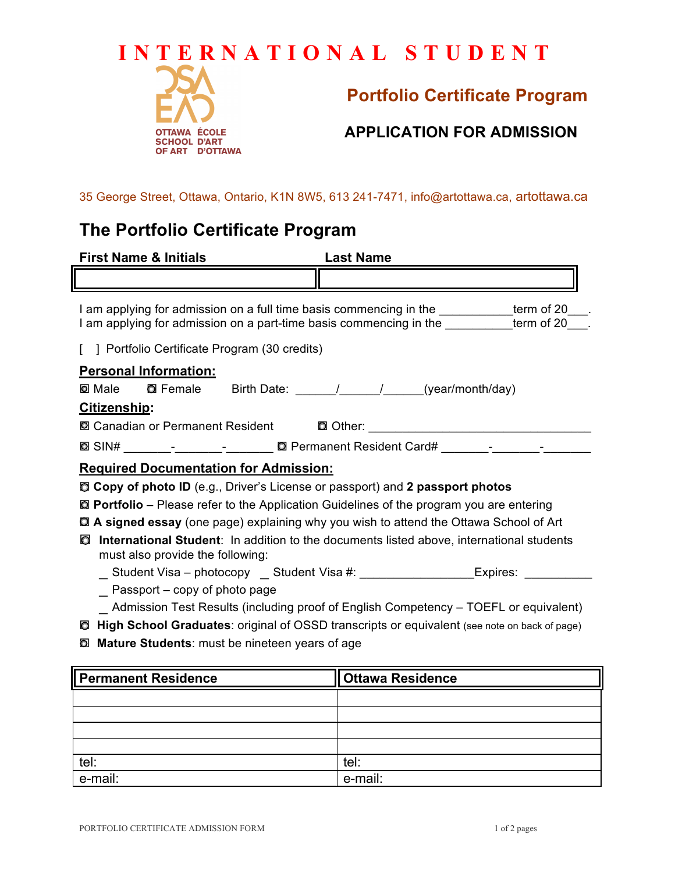# **INTERNATIONAL STUDENT**



## **Portfolio Certificate Program**

#### **APPLICATION FOR ADMISSION**

35 George Street, Ottawa, Ontario, K1N 8W5, 613 241-7471, info@artottawa.ca, artottawa.ca

### **The Portfolio Certificate Program**

| <b>First Name &amp; Initials</b>                                                                                                                                                         | <b>Last Name</b>                                                                       |  |  |
|------------------------------------------------------------------------------------------------------------------------------------------------------------------------------------------|----------------------------------------------------------------------------------------|--|--|
|                                                                                                                                                                                          |                                                                                        |  |  |
| I am applying for admission on a full time basis commencing in the _________term of 20___.<br>I am applying for admission on a part-time basis commencing in the _________term of 20___. |                                                                                        |  |  |
| Portfolio Certificate Program (30 credits)                                                                                                                                               |                                                                                        |  |  |
| <b>Personal Information:</b>                                                                                                                                                             |                                                                                        |  |  |
| <b>■ Male</b> ■ Female Birth Date: 1, 1, 1, year/month/day)                                                                                                                              |                                                                                        |  |  |
| Citizenship:                                                                                                                                                                             |                                                                                        |  |  |
|                                                                                                                                                                                          |                                                                                        |  |  |
|                                                                                                                                                                                          |                                                                                        |  |  |
| <b>Required Documentation for Admission:</b>                                                                                                                                             |                                                                                        |  |  |
| <b>Copy of photo ID</b> (e.g., Driver's License or passport) and 2 passport photos                                                                                                       |                                                                                        |  |  |
| $\Box$ Portfolio – Please refer to the Application Guidelines of the program you are entering                                                                                            |                                                                                        |  |  |
| <b>□ A signed essay</b> (one page) explaining why you wish to attend the Ottawa School of Art                                                                                            |                                                                                        |  |  |
| International Student: In addition to the documents listed above, international students<br>O<br>must also provide the following:                                                        |                                                                                        |  |  |
|                                                                                                                                                                                          | __ Student Visa - photocopy __ Student Visa #: _____________________Expires: _________ |  |  |
| Passport – copy of photo page                                                                                                                                                            |                                                                                        |  |  |
| Admission Test Results (including proof of English Competency – TOEFL or equivalent)                                                                                                     |                                                                                        |  |  |
| <b>a High School Graduates:</b> original of OSSD transcripts or equivalent (see note on back of page)                                                                                    |                                                                                        |  |  |
| <b>I</b> Mature Students: must be nineteen years of age                                                                                                                                  |                                                                                        |  |  |
|                                                                                                                                                                                          |                                                                                        |  |  |

| <b>Permanent Residence</b> | <b>Ottawa Residence</b> |
|----------------------------|-------------------------|
|                            |                         |
|                            |                         |
|                            |                         |
|                            |                         |
| tel:                       | tel:                    |
| e-mail:                    | e-mail:                 |